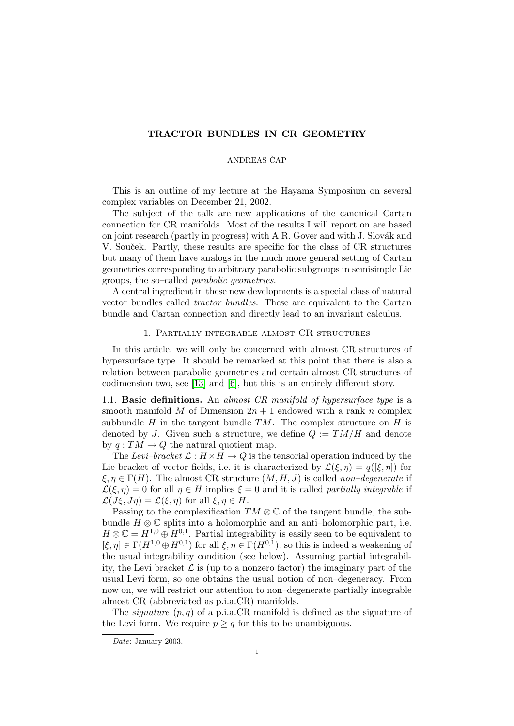# TRACTOR BUNDLES IN CR GEOMETRY

## ANDREAS ČAP

This is an outline of my lecture at the Hayama Symposium on several complex variables on December 21, 2002.

The subject of the talk are new applications of the canonical Cartan connection for CR manifolds. Most of the results I will report on are based on joint research (partly in progress) with A.R. Gover and with J. Slovák and V. Souček. Partly, these results are specific for the class of CR structures but many of them have analogs in the much more general setting of Cartan geometries corresponding to arbitrary parabolic subgroups in semisimple Lie groups, the so–called parabolic geometries.

A central ingredient in these new developments is a special class of natural vector bundles called tractor bundles. These are equivalent to the Cartan bundle and Cartan connection and directly lead to an invariant calculus.

## 1. Partially integrable almost CR structures

In this article, we will only be concerned with almost CR structures of hypersurface type. It should be remarked at this point that there is also a relation between parabolic geometries and certain almost CR structures of codimension two, see [\[13\]](#page-9-0) and [\[6\]](#page-9-1), but this is an entirely different story.

1.1. Basic definitions. An almost  $CR$  manifold of hypersurface type is a smooth manifold M of Dimension  $2n + 1$  endowed with a rank n complex subbundle  $H$  in the tangent bundle  $TM$ . The complex structure on  $H$  is denoted by J. Given such a structure, we define  $Q := TM/H$  and denote by  $q: TM \to Q$  the natural quotient map.

The Levi–bracket  $\mathcal{L}: H \times H \to Q$  is the tensorial operation induced by the Lie bracket of vector fields, i.e. it is characterized by  $\mathcal{L}(\xi, \eta) = q([\xi, \eta])$  for  $\xi, \eta \in \Gamma(H)$ . The almost CR structure  $(M, H, J)$  is called non-degenerate if  $\mathcal{L}(\xi, \eta) = 0$  for all  $\eta \in H$  implies  $\xi = 0$  and it is called partially integrable if  $\mathcal{L}(J\xi, J\eta) = \mathcal{L}(\xi, \eta)$  for all  $\xi, \eta \in H$ .

Passing to the complexification  $TM \otimes \mathbb{C}$  of the tangent bundle, the subbundle  $H \otimes \mathbb{C}$  splits into a holomorphic and an anti–holomorphic part, i.e.  $H \otimes \mathbb{C} = H^{1,0} \oplus H^{0,1}$ . Partial integrability is easily seen to be equivalent to  $[\xi, \eta] \in \Gamma(H^{1,0} \oplus H^{0,1})$  for all  $\xi, \eta \in \Gamma(H^{0,1}),$  so this is indeed a weakening of the usual integrability condition (see below). Assuming partial integrability, the Levi bracket  $\mathcal L$  is (up to a nonzero factor) the imaginary part of the usual Levi form, so one obtains the usual notion of non–degeneracy. From now on, we will restrict our attention to non–degenerate partially integrable almost CR (abbreviated as p.i.a.CR) manifolds.

The *signature*  $(p, q)$  of a p.i.a.CR manifold is defined as the signature of the Levi form. We require  $p \geq q$  for this to be unambiguous.

Date: January 2003.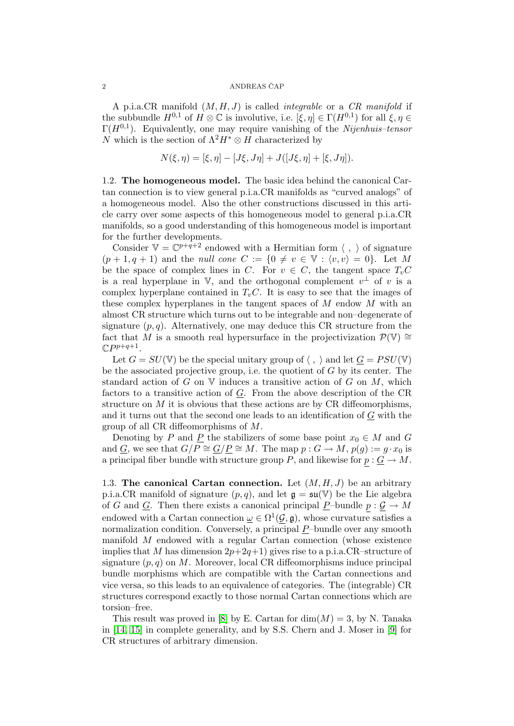A p.i.a.CR manifold  $(M, H, J)$  is called *integrable* or a CR manifold if the subbundle  $H^{0,1}$  of  $H \otimes \mathbb{C}$  is involutive, i.e.  $[\xi, \eta] \in \Gamma(H^{0,1})$  for all  $\xi, \eta \in$  $\Gamma(H^{0,1})$ . Equivalently, one may require vanishing of the Nijenhuis–tensor N which is the section of  $\Lambda^2 H^* \otimes H$  characterized by

$$
N(\xi, \eta) = [\xi, \eta] - [J\xi, J\eta] + J([J\xi, \eta] + [\xi, J\eta]).
$$

<span id="page-1-0"></span>1.2. The homogeneous model. The basic idea behind the canonical Cartan connection is to view general p.i.a.CR manifolds as "curved analogs" of a homogeneous model. Also the other constructions discussed in this article carry over some aspects of this homogeneous model to general p.i.a.CR manifolds, so a good understanding of this homogeneous model is important for the further developments.

Consider  $V = \mathbb{C}^{p+q+2}$  endowed with a Hermitian form  $\langle , \rangle$  of signature  $(p+1, q+1)$  and the *null cone*  $C := \{0 \neq v \in \mathbb{V} : \langle v, v \rangle = 0\}.$  Let M be the space of complex lines in C. For  $v \in C$ , the tangent space  $T_vC$ is a real hyperplane in V, and the orthogonal complement  $v^{\perp}$  of v is a complex hyperplane contained in  $T_vC$ . It is easy to see that the images of these complex hyperplanes in the tangent spaces of M endow M with an almost CR structure which turns out to be integrable and non–degenerate of signature  $(p, q)$ . Alternatively, one may deduce this CR structure from the fact that M is a smooth real hypersurface in the projectivization  $\mathcal{P}(\mathbb{V}) \cong$  $\mathbb{C}P^{p+q+1}.$ 

Let  $G = SU(V)$  be the special unitary group of  $\langle , \rangle$  and let  $\underline{G} = PSU(V)$ be the associated projective group, i.e. the quotient of G by its center. The standard action of  $G$  on  $V$  induces a transitive action of  $G$  on  $M$ , which factors to a transitive action of  $G$ . From the above description of the  $CR$ structure on  $M$  it is obvious that these actions are by CR diffeomorphisms. and it turns out that the second one leads to an identification of G with the group of all CR diffeomorphisms of M.

Denoting by P and <u>P</u> the stabilizers of some base point  $x_0 \in M$  and G and G, we see that  $G/P \cong \underline{G/P} \cong M$ . The map  $p : G \to M$ ,  $p(g) := g \cdot x_0$  is a principal fiber bundle with structure group P, and likewise for  $p : \underline{G} \to M$ .

1.3. The canonical Cartan connection. Let  $(M, H, J)$  be an arbitrary p.i.a.CR manifold of signature  $(p, q)$ , and let  $\mathfrak{g} = \mathfrak{su}(\mathbb{V})$  be the Lie algebra of G and <u>G</u>. Then there exists a canonical principal  $\underline{P}$ -bundle  $p : \mathcal{G} \to M$ endowed with a Cartan connection  $\omega \in \Omega^1(\mathcal{G}, \mathfrak{g})$ , whose curvature satisfies a normalization condition. Conversely, a principal  $P$ -bundle over any smooth manifold M endowed with a regular Cartan connection (whose existence implies that M has dimension  $2p+2q+1$ ) gives rise to a p.i.a.CR–structure of signature  $(p, q)$  on M. Moreover, local CR diffeomorphisms induce principal bundle morphisms which are compatible with the Cartan connections and vice versa, so this leads to an equivalence of categories. The (integrable) CR structures correspond exactly to those normal Cartan connections which are torsion–free.

This result was proved in [\[8\]](#page-9-2) by E. Cartan for  $\dim(M) = 3$ , by N. Tanaka in [\[14,](#page-9-3) [15\]](#page-9-4) in complete generality, and by S.S. Chern and J. Moser in [\[9\]](#page-9-5) for CR structures of arbitrary dimension.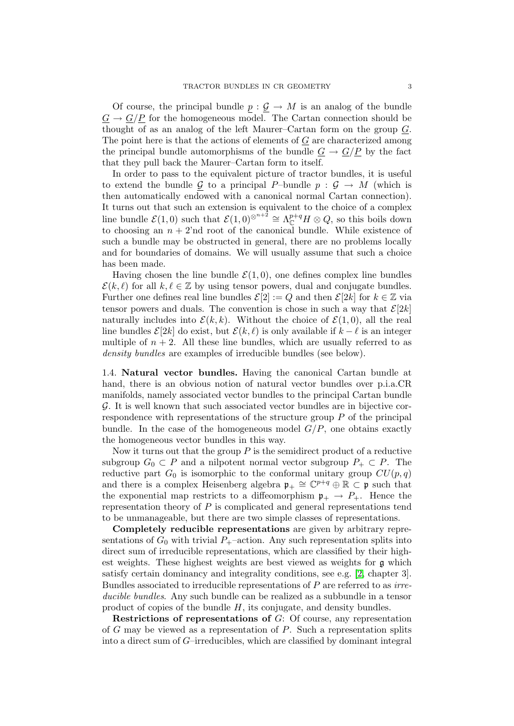Of course, the principal bundle  $p : \mathcal{G} \to M$  is an analog of the bundle  $G \to G/P$  for the homogeneous model. The Cartan connection should be thought of as an analog of the left Maurer–Cartan form on the group  $G$ . The point here is that the actions of elements of  $G$  are characterized among the principal bundle automorphisms of the bundle  $G \rightarrow G/P$  by the fact that they pull back the Maurer–Cartan form to itself.

In order to pass to the equivalent picture of tractor bundles, it is useful to extend the bundle G to a principal P–bundle  $p : G \to M$  (which is then automatically endowed with a canonical normal Cartan connection). It turns out that such an extension is equivalent to the choice of a complex line bundle  $\mathcal{E}(1,0)$  such that  $\mathcal{E}(1,0)^{\otimes^{n+2}} \cong \Lambda_{\mathbb{C}}^{p+q}H \otimes Q$ , so this boils down to choosing an  $n + 2$ 'nd root of the canonical bundle. While existence of such a bundle may be obstructed in general, there are no problems locally and for boundaries of domains. We will usually assume that such a choice has been made.

Having chosen the line bundle  $\mathcal{E}(1,0)$ , one defines complex line bundles  $\mathcal{E}(k, \ell)$  for all  $k, \ell \in \mathbb{Z}$  by using tensor powers, dual and conjugate bundles. Further one defines real line bundles  $\mathcal{E}[2] := Q$  and then  $\mathcal{E}[2k]$  for  $k \in \mathbb{Z}$  via tensor powers and duals. The convention is chose in such a way that  $\mathcal{E}[2k]$ naturally includes into  $\mathcal{E}(k, k)$ . Without the choice of  $\mathcal{E}(1, 0)$ , all the real line bundles  $\mathcal{E}[2k]$  do exist, but  $\mathcal{E}(k, \ell)$  is only available if  $k - \ell$  is an integer multiple of  $n + 2$ . All these line bundles, which are usually referred to as density bundles are examples of irreducible bundles (see below).

<span id="page-2-0"></span>1.4. Natural vector bundles. Having the canonical Cartan bundle at hand, there is an obvious notion of natural vector bundles over p.i.a.CR manifolds, namely associated vector bundles to the principal Cartan bundle G. It is well known that such associated vector bundles are in bijective correspondence with representations of the structure group P of the principal bundle. In the case of the homogeneous model  $G/P$ , one obtains exactly the homogeneous vector bundles in this way.

Now it turns out that the group  $P$  is the semidirect product of a reductive subgroup  $G_0 \subset P$  and a nilpotent normal vector subgroup  $P_+ \subset P$ . The reductive part  $G_0$  is isomorphic to the conformal unitary group  $CU(p, q)$ and there is a complex Heisenberg algebra  $\mathfrak{p}_+ \cong \mathbb{C}^{p+q} \oplus \mathbb{R} \subset \mathfrak{p}$  such that the exponential map restricts to a diffeomorphism  $p_+ \rightarrow P_+$ . Hence the representation theory of  $P$  is complicated and general representations tend to be unmanageable, but there are two simple classes of representations.

Completely reducible representations are given by arbitrary representations of  $G_0$  with trivial  $P_+$ –action. Any such representation splits into direct sum of irreducible representations, which are classified by their highest weights. These highest weights are best viewed as weights for g which satisfy certain dominancy and integrality conditions, see e.g. [\[2,](#page-9-6) chapter 3]. Bundles associated to irreducible representations of P are referred to as irreducible bundles. Any such bundle can be realized as a subbundle in a tensor product of copies of the bundle  $H$ , its conjugate, and density bundles.

Restrictions of representations of G: Of course, any representation of  $G$  may be viewed as a representation of  $P$ . Such a representation splits into a direct sum of G–irreducibles, which are classified by dominant integral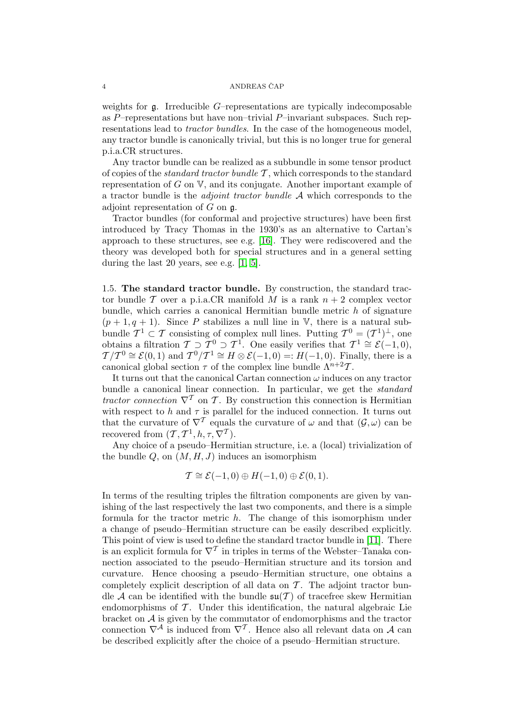weights for g. Irreducible G–representations are typically indecomposable as  $P$ –representations but have non–trivial  $P$ –invariant subspaces. Such representations lead to tractor bundles. In the case of the homogeneous model, any tractor bundle is canonically trivial, but this is no longer true for general p.i.a.CR structures.

Any tractor bundle can be realized as a subbundle in some tensor product of copies of the *standard tractor bundle*  $\mathcal{T}$ , which corresponds to the standard representation of  $G$  on  $V$ , and its conjugate. Another important example of a tractor bundle is the *adjoint tractor bundle*  $A$  which corresponds to the adjoint representation of  $G$  on  $\mathfrak{g}$ .

Tractor bundles (for conformal and projective structures) have been first introduced by Tracy Thomas in the 1930's as an alternative to Cartan's approach to these structures, see e.g. [\[16\]](#page-9-7). They were rediscovered and the theory was developed both for special structures and in a general setting during the last 20 years, see e.g. [\[1,](#page-9-8) [5\]](#page-9-9).

1.5. The standard tractor bundle. By construction, the standard tractor bundle T over a p.i.a.CR manifold M is a rank  $n + 2$  complex vector bundle, which carries a canonical Hermitian bundle metric h of signature  $(p+1, q+1)$ . Since P stabilizes a null line in V, there is a natural subbundle  $\mathcal{T}^1 \subset \mathcal{T}$  consisting of complex null lines. Putting  $\mathcal{T}^0 = (\mathcal{T}^1)^{\perp}$ , one obtains a filtration  $\mathcal{T} \supset \mathcal{T}^0 \supset \mathcal{T}^1$ . One easily verifies that  $\mathcal{T}^1 \cong \mathcal{E}(-1,0)$ ,  $\mathcal{T}/\mathcal{T}^0 \cong \mathcal{E}(0,1)$  and  $\mathcal{T}^0/\mathcal{T}^1 \cong H \otimes \mathcal{E}(-1,0) =: H(-1,0)$ . Finally, there is a canonical global section  $\tau$  of the complex line bundle  $\Lambda^{n+2}\mathcal{T}$ .

It turns out that the canonical Cartan connection  $\omega$  induces on any tractor bundle a canonical linear connection. In particular, we get the standard tractor connection  $\nabla^T$  on T. By construction this connection is Hermitian with respect to h and  $\tau$  is parallel for the induced connection. It turns out that the curvature of  $\nabla^{\mathcal{T}}$  equals the curvature of  $\omega$  and that  $(\mathcal{G}, \omega)$  can be recovered from  $(\mathcal{T}, \mathcal{T}^1, h, \tau, \nabla^{\mathcal{T}})$ .

Any choice of a pseudo–Hermitian structure, i.e. a (local) trivialization of the bundle  $Q$ , on  $(M, H, J)$  induces an isomorphism

$$
\mathcal{T} \cong \mathcal{E}(-1,0) \oplus H(-1,0) \oplus \mathcal{E}(0,1).
$$

In terms of the resulting triples the filtration components are given by vanishing of the last respectively the last two components, and there is a simple formula for the tractor metric h. The change of this isomorphism under a change of pseudo–Hermitian structure can be easily described explicitly. This point of view is used to define the standard tractor bundle in [\[11\]](#page-9-10). There is an explicit formula for  $\nabla^{\mathcal{T}}$  in triples in terms of the Webster–Tanaka connection associated to the pseudo–Hermitian structure and its torsion and curvature. Hence choosing a pseudo–Hermitian structure, one obtains a completely explicit description of all data on  $\mathcal T$ . The adjoint tractor bundle A can be identified with the bundle  $\mathfrak{su}(T)$  of tracefree skew Hermitian endomorphisms of  $\mathcal T$ . Under this identification, the natural algebraic Lie bracket on  $A$  is given by the commutator of endomorphisms and the tractor connection  $\nabla^{\mathcal{A}}$  is induced from  $\nabla^{\mathcal{T}}$ . Hence also all relevant data on  $\mathcal{A}$  can be described explicitly after the choice of a pseudo–Hermitian structure.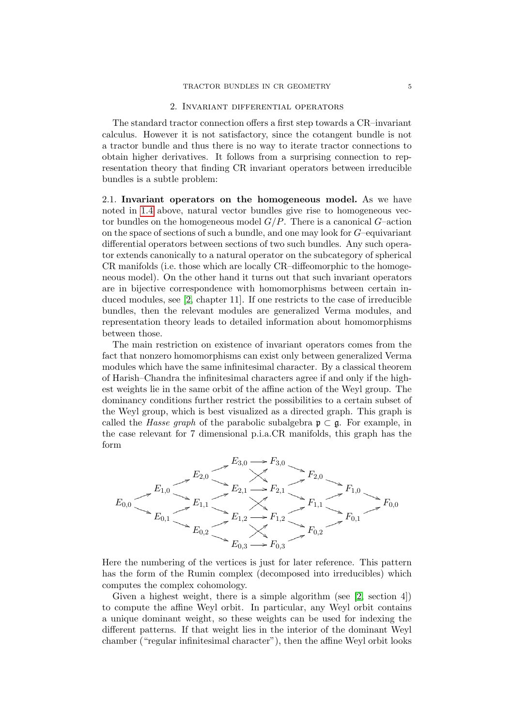### 2. Invariant differential operators

The standard tractor connection offers a first step towards a CR–invariant calculus. However it is not satisfactory, since the cotangent bundle is not a tractor bundle and thus there is no way to iterate tractor connections to obtain higher derivatives. It follows from a surprising connection to representation theory that finding CR invariant operators between irreducible bundles is a subtle problem:

<span id="page-4-0"></span>2.1. Invariant operators on the homogeneous model. As we have noted in [1.4](#page-2-0) above, natural vector bundles give rise to homogeneous vector bundles on the homogeneous model  $G/P$ . There is a canonical  $G$ –action on the space of sections of such a bundle, and one may look for G–equivariant differential operators between sections of two such bundles. Any such operator extends canonically to a natural operator on the subcategory of spherical CR manifolds (i.e. those which are locally CR–diffeomorphic to the homogeneous model). On the other hand it turns out that such invariant operators are in bijective correspondence with homomorphisms between certain induced modules, see [\[2,](#page-9-6) chapter 11]. If one restricts to the case of irreducible bundles, then the relevant modules are generalized Verma modules, and representation theory leads to detailed information about homomorphisms between those.

The main restriction on existence of invariant operators comes from the fact that nonzero homomorphisms can exist only between generalized Verma modules which have the same infinitesimal character. By a classical theorem of Harish–Chandra the infinitesimal characters agree if and only if the highest weights lie in the same orbit of the affine action of the Weyl group. The dominancy conditions further restrict the possibilities to a certain subset of the Weyl group, which is best visualized as a directed graph. This graph is called the *Hasse graph* of the parabolic subalgebra  $\mathfrak{p} \subset \mathfrak{g}$ . For example, in the case relevant for 7 dimensional p.i.a.CR manifolds, this graph has the form



Here the numbering of the vertices is just for later reference. This pattern has the form of the Rumin complex (decomposed into irreducibles) which computes the complex cohomology.

Given a highest weight, there is a simple algorithm (see [\[2,](#page-9-6) section 4]) to compute the affine Weyl orbit. In particular, any Weyl orbit contains a unique dominant weight, so these weights can be used for indexing the different patterns. If that weight lies in the interior of the dominant Weyl chamber ("regular infinitesimal character"), then the affine Weyl orbit looks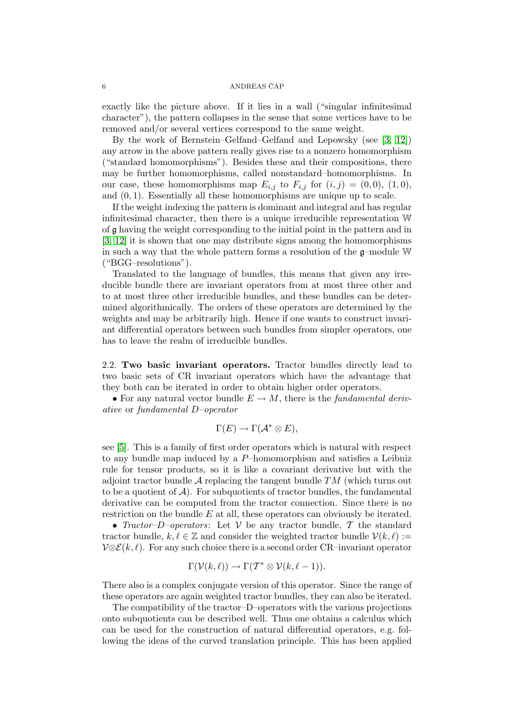exactly like the picture above. If it lies in a wall ("singular infinitesimal character"), the pattern collapses in the sense that some vertices have to be removed and/or several vertices correspond to the same weight.

By the work of Bernstein–Gelfand–Gelfand and Lepowsky (see [\[3,](#page-9-11) [12\]](#page-9-12)) any arrow in the above pattern really gives rise to a nonzero homomorphism ("standard homomorphisms"). Besides these and their compositions, there may be further homomorphisms, called nonstandard–homomorphisms. In our case, these homomorphisms map  $E_{i,j}$  to  $F_{i,j}$  for  $(i, j) = (0, 0), (1, 0),$ and  $(0, 1)$ . Essentially all these homomorphisms are unique up to scale.

If the weight indexing the pattern is dominant and integral and has regular infinitesimal character, then there is a unique irreducible representation W of g having the weight corresponding to the initial point in the pattern and in [\[3,](#page-9-11) [12\]](#page-9-12) it is shown that one may distribute signs among the homomorphisms in such a way that the whole pattern forms a resolution of the g–module W ("BGG–resolutions").

Translated to the language of bundles, this means that given any irreducible bundle there are invariant operators from at most three other and to at most three other irreducible bundles, and these bundles can be determined algorithmically. The orders of these operators are determined by the weights and may be arbitrarily high. Hence if one wants to construct invariant differential operators between such bundles from simpler operators, one has to leave the realm of irreducible bundles.

2.2. Two basic invariant operators. Tractor bundles directly lead to two basic sets of CR invariant operators which have the advantage that they both can be iterated in order to obtain higher order operators.

• For any natural vector bundle  $E \to M$ , there is the *fundamental deriv*ative or fundamental D–operator

$$
\Gamma(E) \to \Gamma(\mathcal{A}^* \otimes E),
$$

see [\[5\]](#page-9-9). This is a family of first order operators which is natural with respect to any bundle map induced by a P–homomorphism and satisfies a Leibniz rule for tensor products, so it is like a covariant derivative but with the adjoint tractor bundle  $A$  replacing the tangent bundle  $TM$  (which turns out to be a quotient of  $A$ ). For subquotients of tractor bundles, the fundamental derivative can be computed from the tractor connection. Since there is no restriction on the bundle  $E$  at all, these operators can obviously be iterated.

• Tractor–D–operators: Let  $V$  be any tractor bundle,  $T$  the standard tractor bundle,  $k, \ell \in \mathbb{Z}$  and consider the weighted tractor bundle  $\mathcal{V}(k, \ell) :=$  $V\otimes \mathcal{E}(k,\ell)$ . For any such choice there is a second order CR–invariant operator

$$
\Gamma(\mathcal{V}(k,\ell)) \to \Gamma(\mathcal{T}^* \otimes \mathcal{V}(k,\ell-1)).
$$

There also is a complex conjugate version of this operator. Since the range of these operators are again weighted tractor bundles, they can also be iterated.

The compatibility of the tractor–D–operators with the various projections onto subquotients can be described well. Thus one obtains a calculus which can be used for the construction of natural differential operators, e.g. following the ideas of the curved translation principle. This has been applied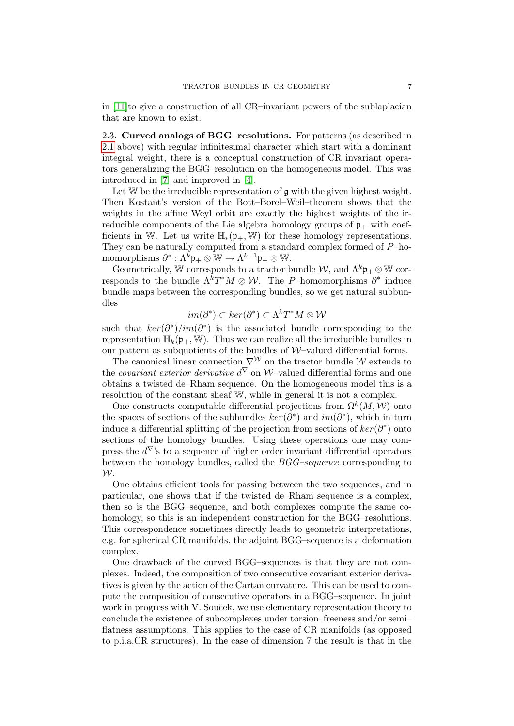in [\[11\]](#page-9-10)to give a construction of all CR–invariant powers of the sublaplacian that are known to exist.

2.3. Curved analogs of BGG–resolutions. For patterns (as described in [2.1](#page-4-0) above) with regular infinitesimal character which start with a dominant integral weight, there is a conceptual construction of CR invariant operators generalizing the BGG–resolution on the homogeneous model. This was introduced in [\[7\]](#page-9-13) and improved in [\[4\]](#page-9-14).

Let  $W$  be the irreducible representation of  $g$  with the given highest weight. Then Kostant's version of the Bott–Borel–Weil–theorem shows that the weights in the affine Weyl orbit are exactly the highest weights of the irreducible components of the Lie algebra homology groups of  $\mathfrak{p}_+$  with coefficients in W. Let us write  $\mathbb{H}_*(p_+, \mathbb{W})$  for these homology representations. They can be naturally computed from a standard complex formed of P–ho- $\text{momorphisms } \partial^* : \Lambda^{\bar k} \mathfrak{p}_+ \otimes \overline{\mathbb{W}} \to \Lambda^{k-1} \mathfrak{p}_+ \otimes \overline{\mathbb{W}}.$ 

Geometrically, W corresponds to a tractor bundle  $W$ , and  $\Lambda^k \mathfrak{p}_+ \otimes \mathbb{W}$  corresponds to the bundle  $\Lambda^k T^*M \otimes \mathcal{W}$ . The P-homomorphisms  $\partial^*$  induce bundle maps between the corresponding bundles, so we get natural subbundles

$$
im(\partial^*) \subset ker(\partial^*) \subset \Lambda^k T^*M \otimes \mathcal{W}
$$

such that  $\ker(\partial^*)/im(\partial^*)$  is the associated bundle corresponding to the representation  $\mathbb{H}_k(\mathfrak{p}_+, \mathbb{W})$ . Thus we can realize all the irreducible bundles in our pattern as subquotients of the bundles of  $W$ -valued differential forms.

The canonical linear connection  $\nabla^{\mathcal{W}}$  on the tractor bundle W extends to the *covariant exterior derivative*  $d^{\nabla}$  on W–valued differential forms and one obtains a twisted de–Rham sequence. On the homogeneous model this is a resolution of the constant sheaf W, while in general it is not a complex.

One constructs computable differential projections from  $\Omega^k(M, \mathcal{W})$  onto the spaces of sections of the subbundles  $\ker(\partial^*)$  and  $im(\partial^*)$ , which in turn induce a differential splitting of the projection from sections of  $ker(\partial^*)$  onto sections of the homology bundles. Using these operations one may compress the  $d^{\nabla}$ 's to a sequence of higher order invariant differential operators between the homology bundles, called the BGG–sequence corresponding to W.

One obtains efficient tools for passing between the two sequences, and in particular, one shows that if the twisted de–Rham sequence is a complex, then so is the BGG–sequence, and both complexes compute the same cohomology, so this is an independent construction for the BGG–resolutions. This correspondence sometimes directly leads to geometric interpretations, e.g. for spherical CR manifolds, the adjoint BGG–sequence is a deformation complex.

One drawback of the curved BGG–sequences is that they are not complexes. Indeed, the composition of two consecutive covariant exterior derivatives is given by the action of the Cartan curvature. This can be used to compute the composition of consecutive operators in a BGG–sequence. In joint work in progress with V. Souček, we use elementary representation theory to conclude the existence of subcomplexes under torsion–freeness and/or semi– flatness assumptions. This applies to the case of CR manifolds (as opposed to p.i.a.CR structures). In the case of dimension 7 the result is that in the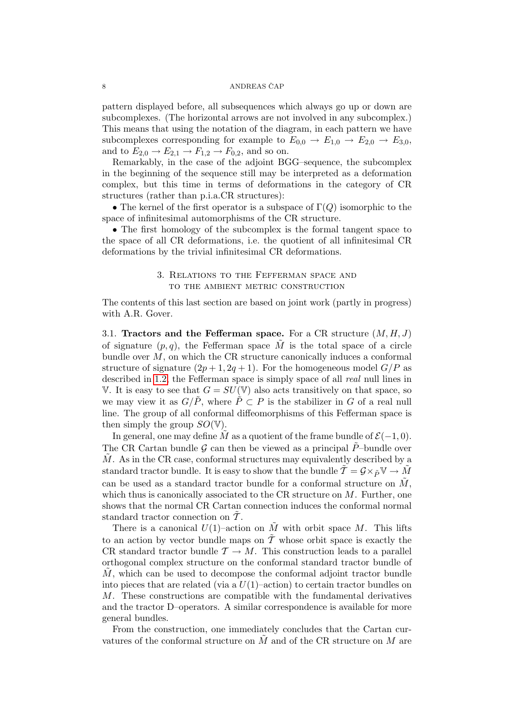pattern displayed before, all subsequences which always go up or down are subcomplexes. (The horizontal arrows are not involved in any subcomplex.) This means that using the notation of the diagram, in each pattern we have subcomplexes corresponding for example to  $E_{0,0} \rightarrow E_{1,0} \rightarrow E_{2,0} \rightarrow E_{3,0}$ , and to  $E_{2,0} \to E_{2,1} \to F_{1,2} \to F_{0,2}$ , and so on.

Remarkably, in the case of the adjoint BGG–sequence, the subcomplex in the beginning of the sequence still may be interpreted as a deformation complex, but this time in terms of deformations in the category of CR structures (rather than p.i.a.CR structures):

• The kernel of the first operator is a subspace of  $\Gamma(Q)$  isomorphic to the space of infinitesimal automorphisms of the CR structure.

• The first homology of the subcomplex is the formal tangent space to the space of all CR deformations, i.e. the quotient of all infinitesimal CR deformations by the trivial infinitesimal CR deformations.

## 3. Relations to the Fefferman space and to the ambient metric construction

The contents of this last section are based on joint work (partly in progress) with A.R. Gover.

3.1. Tractors and the Fefferman space. For a CR structure  $(M, H, J)$ of signature  $(p, q)$ , the Fefferman space M is the total space of a circle bundle over  $M$ , on which the CR structure canonically induces a conformal structure of signature  $(2p+1, 2q+1)$ . For the homogeneous model  $G/P$  as described in [1.2,](#page-1-0) the Fefferman space is simply space of all *real* null lines in V. It is easy to see that  $G = SU(V)$  also acts transitively on that space, so we may view it as  $G/\tilde{P}$ , where  $\tilde{P} \subset P$  is the stabilizer in G of a real null line. The group of all conformal diffeomorphisms of this Fefferman space is then simply the group  $SO(V)$ .

In general, one may define M as a quotient of the frame bundle of  $\mathcal{E}(-1, 0)$ . The CR Cartan bundle G can then be viewed as a principal  $\tilde{P}$ -bundle over  $\tilde{M}$ . As in the CR case, conformal structures may equivalently described by a standard tractor bundle. It is easy to show that the bundle  $\tilde{\mathcal{T}} = \mathcal{G} \times_{\tilde{P}} \mathbb{V} \to \tilde{M}$ can be used as a standard tractor bundle for a conformal structure on  $M$ . which thus is canonically associated to the CR structure on  $M$ . Further, one shows that the normal CR Cartan connection induces the conformal normal standard tractor connection on  $\tilde{\mathcal{T}}$ .

There is a canonical  $U(1)$ –action on  $\tilde{M}$  with orbit space  $M$ . This lifts to an action by vector bundle maps on  $\tilde{T}$  whose orbit space is exactly the CR standard tractor bundle  $\mathcal{T} \to M$ . This construction leads to a parallel orthogonal complex structure on the conformal standard tractor bundle of  $M$ , which can be used to decompose the conformal adjoint tractor bundle into pieces that are related (via a  $U(1)$ –action) to certain tractor bundles on M. These constructions are compatible with the fundamental derivatives and the tractor D–operators. A similar correspondence is available for more general bundles.

From the construction, one immediately concludes that the Cartan curvatures of the conformal structure on  $M$  and of the CR structure on  $M$  are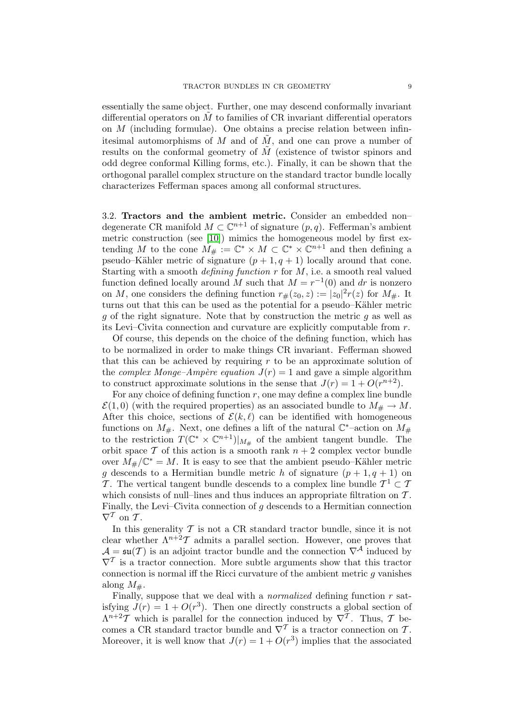essentially the same object. Further, one may descend conformally invariant differential operators on  $\tilde{M}$  to families of CR invariant differential operators on M (including formulae). One obtains a precise relation between infinitesimal automorphisms of M and of  $\tilde{M}$ , and one can prove a number of results on the conformal geometry of  $\tilde{M}$  (existence of twistor spinors and odd degree conformal Killing forms, etc.). Finally, it can be shown that the orthogonal parallel complex structure on the standard tractor bundle locally characterizes Fefferman spaces among all conformal structures.

3.2. Tractors and the ambient metric. Consider an embedded non– degenerate CR manifold  $M \subset \mathbb{C}^{n+1}$  of signature  $(p, q)$ . Fefferman's ambient metric construction (see [\[10\]](#page-9-15)) mimics the homogeneous model by first extending M to the cone  $M_{\#} := \mathbb{C}^* \times M \subset \mathbb{C}^* \times \mathbb{C}^{n+1}$  and then defining a pseudo–Kähler metric of signature  $(p+1, q+1)$  locally around that cone. Starting with a smooth *defining function*  $r$  for  $M$ , i.e. a smooth real valued function defined locally around M such that  $M = r^{-1}(0)$  and dr is nonzero on M, one considers the defining function  $r_{\#}(z_0, z) := |z_0|^2 r(z)$  for  $M_{\#}$ . It turns out that this can be used as the potential for a pseudo–Kähler metric g of the right signature. Note that by construction the metric g as well as its Levi–Civita connection and curvature are explicitly computable from r.

Of course, this depends on the choice of the defining function, which has to be normalized in order to make things CR invariant. Fefferman showed that this can be achieved by requiring  $r$  to be an approximate solution of the *complex Monge–Ampère equation*  $J(r) = 1$  and gave a simple algorithm to construct approximate solutions in the sense that  $J(r) = 1 + O(r^{n+2})$ .

For any choice of defining function  $r$ , one may define a complex line bundle  $\mathcal{E}(1,0)$  (with the required properties) as an associated bundle to  $M_{\#} \to M$ . After this choice, sections of  $\mathcal{E}(k, \ell)$  can be identified with homogeneous functions on  $M_{\#}$ . Next, one defines a lift of the natural  $\mathbb{C}^*$ -action on  $M_{\#}$ to the restriction  $T(\mathbb{C}^* \times \mathbb{C}^{n+1})|_{M_{\#}}$  of the ambient tangent bundle. The orbit space  $\mathcal T$  of this action is a smooth rank  $n+2$  complex vector bundle over  $\tilde{M}_{\#}/\mathbb{C}^* = M$ . It is easy to see that the ambient pseudo–Kähler metric g descends to a Hermitian bundle metric h of signature  $(p+1, q+1)$  on T. The vertical tangent bundle descends to a complex line bundle  $\mathcal{T}^1 \subset \mathcal{T}$ which consists of null–lines and thus induces an appropriate filtration on  $T$ . Finally, the Levi–Civita connection of  $q$  descends to a Hermitian connection  $\nabla^{\mathcal{T}}$  on  $\mathcal{T}$ .

In this generality  $\mathcal T$  is not a CR standard tractor bundle, since it is not clear whether  $\Lambda^{n+2}$  admits a parallel section. However, one proves that  $\mathcal{A} = \mathfrak{su}(T)$  is an adjoint tractor bundle and the connection  $\nabla^{\mathcal{A}}$  induced by  $\nabla^{\mathcal{T}}$  is a tractor connection. More subtle arguments show that this tractor connection is normal iff the Ricci curvature of the ambient metric  $g$  vanishes along  $M_{\#}$ .

Finally, suppose that we deal with a *normalized* defining function  $r$  satisfying  $J(r) = 1 + O(r^3)$ . Then one directly constructs a global section of  $\Lambda^{n+2}\mathcal{T}$  which is parallel for the connection induced by  $\nabla^{\mathcal{T}}$ . Thus,  $\mathcal{T}$  becomes a CR standard tractor bundle and  $\nabla^{\mathcal{T}}$  is a tractor connection on  $\mathcal{T}$ . Moreover, it is well know that  $J(r) = 1 + O(r^3)$  implies that the associated